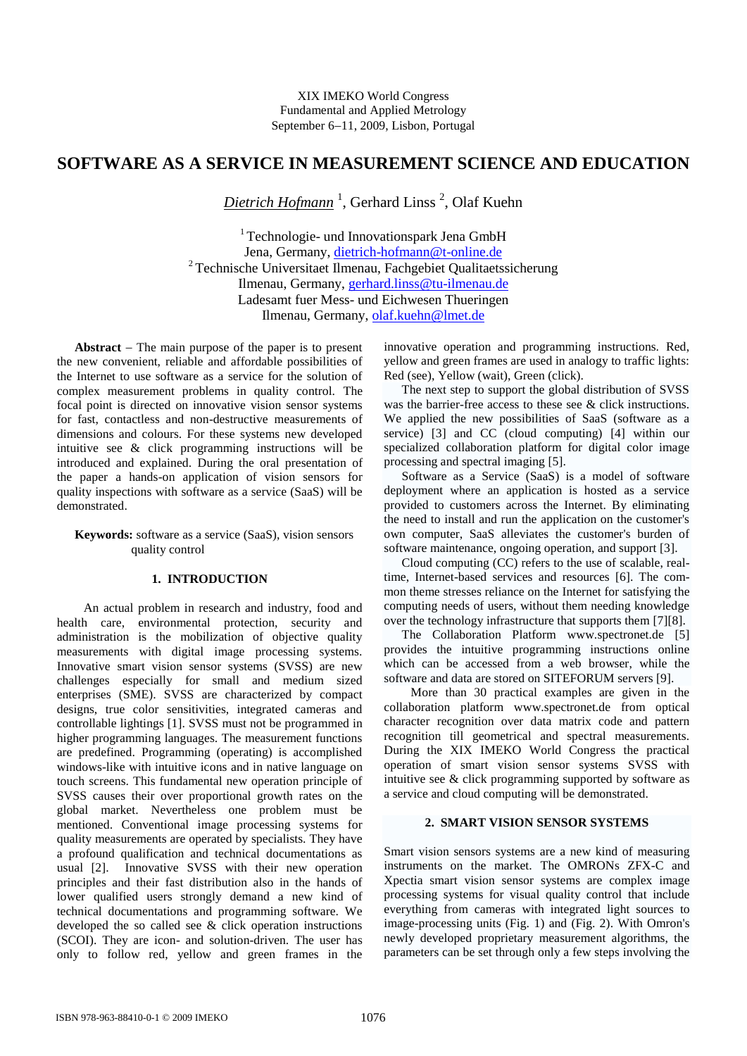# **SOFTWARE AS A SERVICE IN MEASUREMENT SCIENCE AND EDUCATION**

*Dietrich Hofmann* <sup>1</sup> , Gerhard Linss <sup>2</sup> , Olaf Kuehn

<sup>1</sup> Technologie- und Innovationspark Jena GmbH Jena, Germany, [dietrich-hofmann@t-online.de](mailto:dietrich-hofmann@t-online.de)  <sup>2</sup> Technische Universitaet Ilmenau, Fachgebiet Qualitaetssicherung Ilmenau, Germany, [gerhard.linss@tu-ilmenau.de](mailto:gerhard.linss@tu-ilmenau.de) Ladesamt fuer Mess- und Eichwesen Thueringen Ilmenau, Germany, [olaf.kuehn@lmet.de](mailto:olaf.kuehn@lmet.de)

Abstract  $-$  The main purpose of the paper is to present the new convenient, reliable and affordable possibilities of the Internet to use software as a service for the solution of complex measurement problems in quality control. The focal point is directed on innovative vision sensor systems for fast, contactless and non-destructive measurements of dimensions and colours. For these systems new developed intuitive see & click programming instructions will be introduced and explained. During the oral presentation of the paper a hands-on application of vision sensors for quality inspections with software as a service (SaaS) will be demonstrated.

### **Keywords:** software as a service (SaaS), vision sensors quality control

### **1. INTRODUCTION**

An actual problem in research and industry, food and health care, environmental protection, security and administration is the mobilization of objective quality measurements with digital image processing systems. Innovative smart vision sensor systems (SVSS) are new challenges especially for small and medium sized enterprises (SME). SVSS are characterized by compact designs, true color sensitivities, integrated cameras and controllable lightings [1]. SVSS must not be programmed in higher programming languages. The measurement functions are predefined. Programming (operating) is accomplished windows-like with intuitive icons and in native language on touch screens. This fundamental new operation principle of SVSS causes their over proportional growth rates on the global market. Nevertheless one problem must be mentioned. Conventional image processing systems for quality measurements are operated by specialists. They have a profound qualification and technical documentations as usual [2]. Innovative SVSS with their new operation principles and their fast distribution also in the hands of lower qualified users strongly demand a new kind of technical documentations and programming software. We developed the so called see & click operation instructions (SCOI). They are icon- and solution-driven. The user has only to follow red, yellow and green frames in the

innovative operation and programming instructions. Red, yellow and green frames are used in analogy to traffic lights: Red (see), Yellow (wait), Green (click).

The next step to support the global distribution of SVSS was the barrier-free access to these see & click instructions. We applied the new possibilities of SaaS (software as a service) [3] and CC (cloud computing) [4] within our specialized collaboration platform for digital color image processing and spectral imaging [5].

Software as a Service (SaaS) is a model of software deployment where an application is hosted as a service provided to customers across the Internet. By eliminating the need to install and run the application on the customer's own computer, SaaS alleviates the customer's burden of software maintenance, ongoing operation, and support [3].

Cloud computing (CC) refers to the use of scalable, realtime, Internet-based services and resources [6]. The common theme stresses reliance on the Internet for satisfying the computing needs of users, without them needing knowledge over the technology infrastructure that supports them [7][8].

The Collaboration Platform www.spectronet.de [5] provides the intuitive programming instructions online which can be accessed from a web browser, while the software and data are stored on SITEFORUM servers [9].

More than 30 practical examples are given in the collaboration platform www.spectronet.de from optical character recognition over data matrix code and pattern recognition till geometrical and spectral measurements. During the XIX IMEKO World Congress the practical operation of smart vision sensor systems SVSS with intuitive see & click programming supported by software as a service and cloud computing will be demonstrated.

### **2. SMART VISION SENSOR SYSTEMS**

Smart vision sensors systems are a new kind of measuring instruments on the market. The OMRONs ZFX-C and Xpectia smart vision sensor systems are complex image processing systems for visual quality control that include everything from cameras with integrated light sources to image-processing units (Fig. 1) and (Fig. 2). With Omron's newly developed proprietary measurement algorithms, the parameters can be set through only a few steps involving the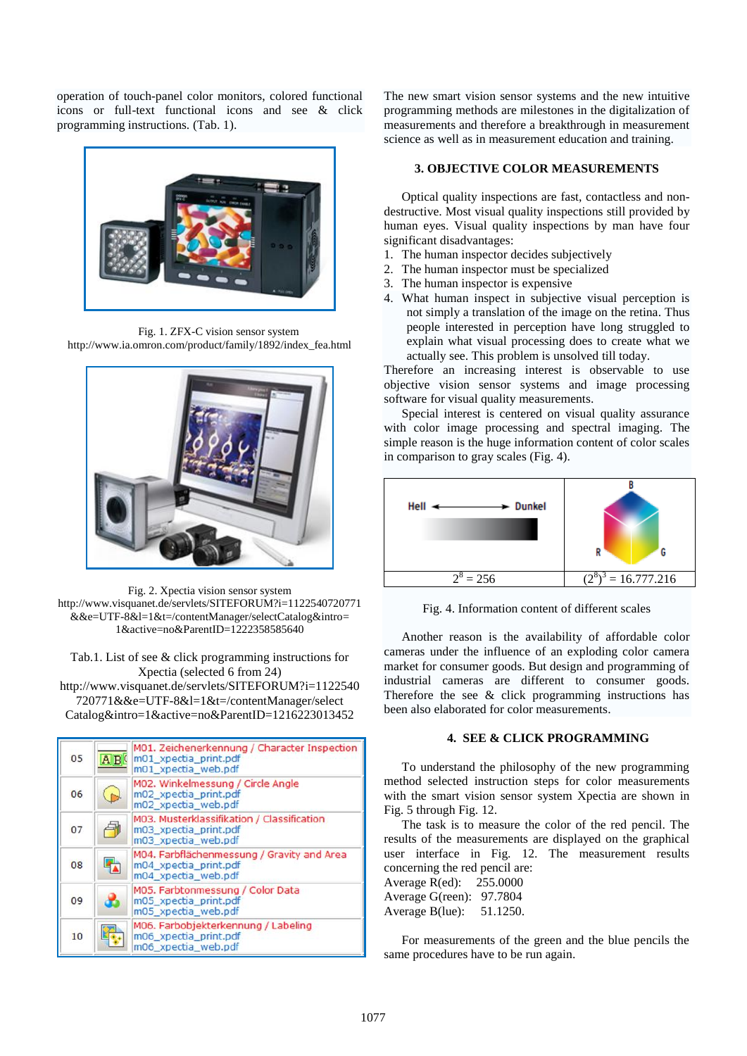operation of touch-panel color monitors, colored functional icons or full-text functional icons and see & click programming instructions. (Tab. 1).



Fig. 1. ZFX-C vision sensor system http://www.ia.omron.com/product/family/1892/index\_fea.html



Fig. 2. Xpectia vision sensor system http://www.visquanet.de/servlets/SITEFORUM?i=1122540720771 &&e=UTF-8&l=1&t=/contentManager/selectCatalog&intro= 1&active=no&ParentID=1222358585640

Tab.1. List of see & click programming instructions for Xpectia (selected 6 from 24) http://www.visquanet.de/servlets/SITEFORUM?i=1122540 720771&&e=UTF-8&l=1&t=/contentManager/select Catalog&intro=1&active=no&ParentID=1216223013452

| 05 | A B | M01. Zeichenerkennung / Character Inspection<br>m01 xpectia print.pdf<br>m01_xpectia_web.pdf |
|----|-----|----------------------------------------------------------------------------------------------|
| 06 |     | M02. Winkelmessung / Circle Angle<br>m02 xpectia print.pdf<br>m02 xpectia web.pdf            |
| 07 |     | M03. Musterklassifikation / Classification<br>m03 xpectia print.pdf<br>m03 xpectia web.pdf   |
| 08 |     | M04. Farbflächenmessung / Gravity and Area<br>m04 xpectia print.pdf<br>m04_xpectia_web.pdf   |
| 09 |     | M05. Farbtonmessung / Color Data<br>m05 xpectia print.pdf<br>m05 xpectia web.pdf             |
| 10 |     | M06. Farbobjekterkennung / Labeling<br>m06 xpectia print.pdf<br>m06 xpectia web.pdf          |

The new smart vision sensor systems and the new intuitive programming methods are milestones in the digitalization of measurements and therefore a breakthrough in measurement science as well as in measurement education and training.

# **3. OBJECTIVE COLOR MEASUREMENTS**

Optical quality inspections are fast, contactless and nondestructive. Most visual quality inspections still provided by human eyes. Visual quality inspections by man have four significant disadvantages:

- 1. The human inspector decides subjectively
- 2. The human inspector must be specialized
- 3. The human inspector is expensive
- 4. What human inspect in subjective visual perception is not simply a translation of the image on the retina. Thus people interested in perception have long struggled to explain what visual processing does to create what we actually see. This problem is unsolved till today.

Therefore an increasing interest is observable to use objective vision sensor systems and image processing software for visual quality measurements.

Special interest is centered on visual quality assurance with color image processing and spectral imaging. The simple reason is the huge information content of color scales in comparison to gray scales (Fig. 4).



Fig. 4. Information content of different scales

Another reason is the availability of affordable color cameras under the influence of an exploding color camera market for consumer goods. But design and programming of industrial cameras are different to consumer goods. Therefore the see & click programming instructions has been also elaborated for color measurements.

## **4. SEE & CLICK PROGRAMMING**

To understand the philosophy of the new programming method selected instruction steps for color measurements with the smart vision sensor system Xpectia are shown in Fig. 5 through Fig. 12.

The task is to measure the color of the red pencil. The results of the measurements are displayed on the graphical user interface in Fig. 12. The measurement results concerning the red pencil are:

Average R(ed): 255.0000 Average G(reen): 97.7804 Average B(lue): 51.1250.

For measurements of the green and the blue pencils the same procedures have to be run again.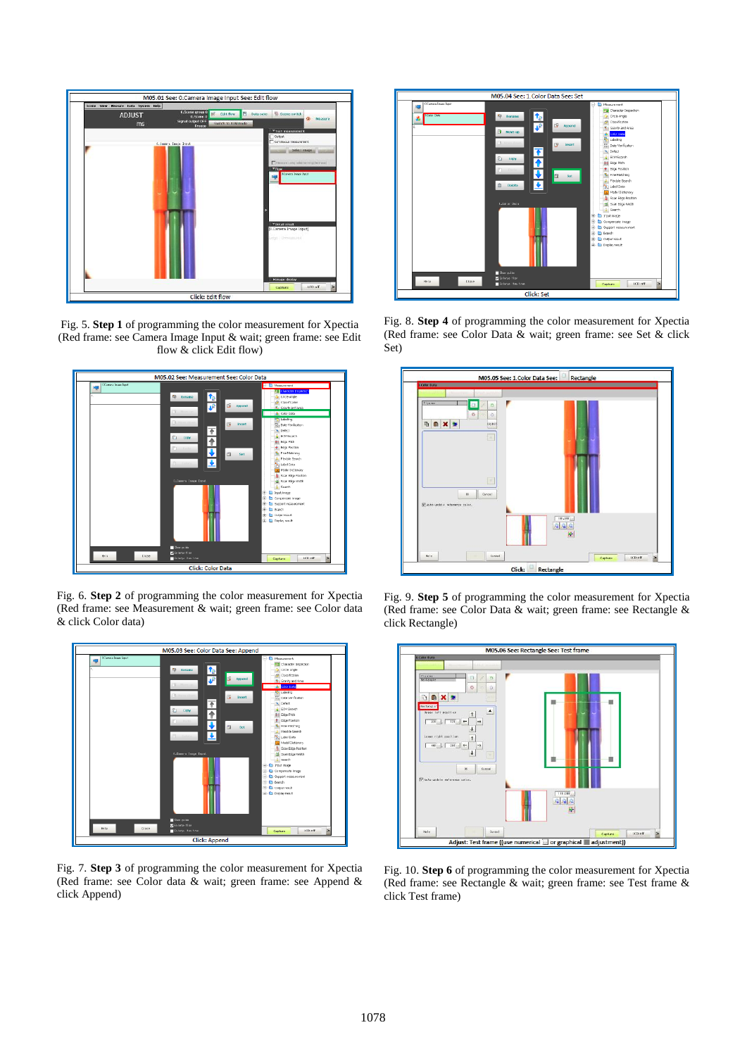

Fig. 5. **Step 1** of programming the color measurement for Xpectia (Red frame: see Camera Image Input & wait; green frame: see Edit flow & click Edit flow)



Fig. 6. **Step 2** of programming the color measurement for Xpectia (Red frame: see Measurement & wait; green frame: see Color data & click Color data)



Fig. 7. **Step 3** of programming the color measurement for Xpectia (Red frame: see Color data & wait; green frame: see Append & click Append)



Fig. 8. **Step 4** of programming the color measurement for Xpectia (Red frame: see Color Data & wait; green frame: see Set & click Set)



Fig. 9. **Step 5** of programming the color measurement for Xpectia (Red frame: see Color Data & wait; green frame: see Rectangle & click Rectangle)



Fig. 10. **Step 6** of programming the color measurement for Xpectia (Red frame: see Rectangle & wait; green frame: see Test frame & click Test frame)